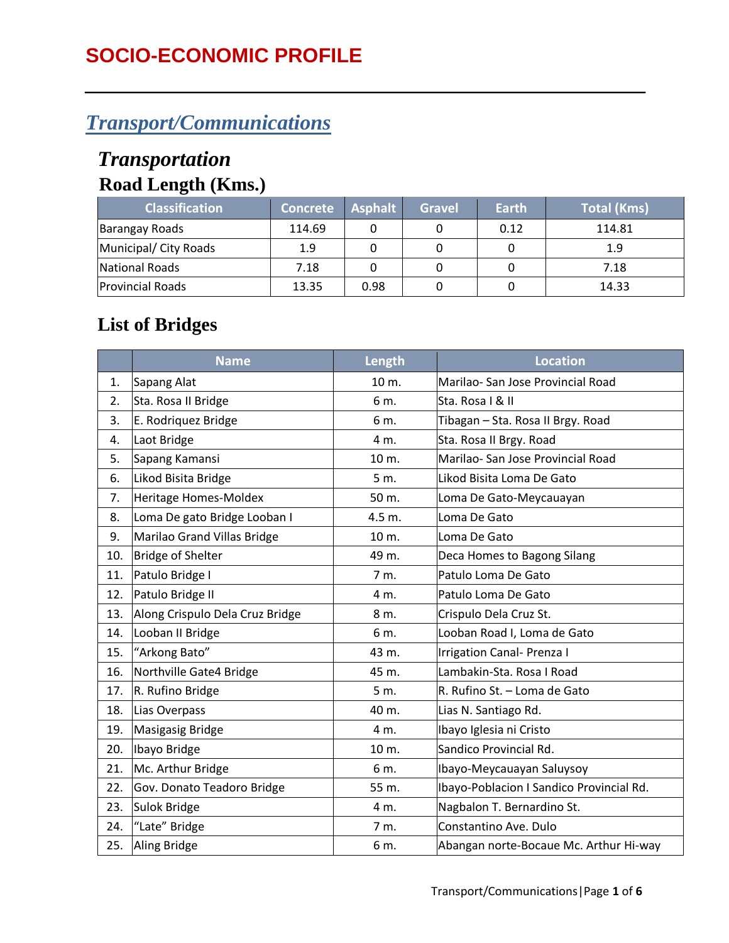# *Transport/Communications*

# *Transportation*

### **Road Length (Kms.)**

| <b>Classification</b>    | <b>Concrete</b> | <b>Asphalt</b> | <b>Gravel</b> | Earth | <b>Total (Kms)</b> |
|--------------------------|-----------------|----------------|---------------|-------|--------------------|
| <b>Barangay Roads</b>    | 114.69          |                |               | 0.12  | 114.81             |
| Municipal/City Roads     | 1.9             |                |               |       | 1.9                |
| National Roads           | 7.18            |                |               |       | 7.18               |
| <b>IProvincial Roads</b> | 13.35           | 0.98           |               |       | 14.33              |

### **List of Bridges**

|     | <b>Name</b>                     | Length | <b>Location</b>                          |
|-----|---------------------------------|--------|------------------------------------------|
| 1.  | Sapang Alat                     | 10 m.  | Marilao- San Jose Provincial Road        |
| 2.  | Sta. Rosa II Bridge             | 6 m.   | Sta. Rosa I & II                         |
| 3.  | E. Rodriquez Bridge             | 6 m.   | Tibagan - Sta. Rosa II Brgy. Road        |
| 4.  | Laot Bridge                     | 4 m.   | Sta. Rosa II Brgy. Road                  |
| 5.  | Sapang Kamansi                  | 10 m.  | Marilao- San Jose Provincial Road        |
| 6.  | Likod Bisita Bridge             | 5 m.   | Likod Bisita Loma De Gato                |
| 7.  | Heritage Homes-Moldex           | 50 m.  | Loma De Gato-Meycauayan                  |
| 8.  | Loma De gato Bridge Looban I    | 4.5 m. | Loma De Gato                             |
| 9.  | Marilao Grand Villas Bridge     | 10 m.  | Loma De Gato                             |
| 10. | <b>Bridge of Shelter</b>        | 49 m.  | Deca Homes to Bagong Silang              |
| 11. | Patulo Bridge I                 | 7 m.   | Patulo Loma De Gato                      |
| 12. | Patulo Bridge II                | 4 m.   | Patulo Loma De Gato                      |
| 13. | Along Crispulo Dela Cruz Bridge | 8 m.   | Crispulo Dela Cruz St.                   |
| 14. | Looban II Bridge                | 6 m.   | Looban Road I, Loma de Gato              |
| 15. | "Arkong Bato"                   | 43 m.  | Irrigation Canal- Prenza I               |
| 16. | Northville Gate4 Bridge         | 45 m.  | Lambakin-Sta. Rosa I Road                |
| 17. | R. Rufino Bridge                | 5 m.   | R. Rufino St. - Loma de Gato             |
| 18. | Lias Overpass                   | 40 m.  | Lias N. Santiago Rd.                     |
| 19. | Masigasig Bridge                | 4 m.   | Ibayo Iglesia ni Cristo                  |
| 20. | Ibayo Bridge                    | 10 m.  | Sandico Provincial Rd.                   |
| 21. | Mc. Arthur Bridge               | 6 m.   | Ibayo-Meycauayan Saluysoy                |
| 22. | Gov. Donato Teadoro Bridge      | 55 m.  | Ibayo-Poblacion I Sandico Provincial Rd. |
| 23. | Sulok Bridge                    | 4 m.   | Nagbalon T. Bernardino St.               |
| 24. | "Late" Bridge                   | 7 m.   | Constantino Ave. Dulo                    |
| 25. | Aling Bridge                    | 6 m.   | Abangan norte-Bocaue Mc. Arthur Hi-way   |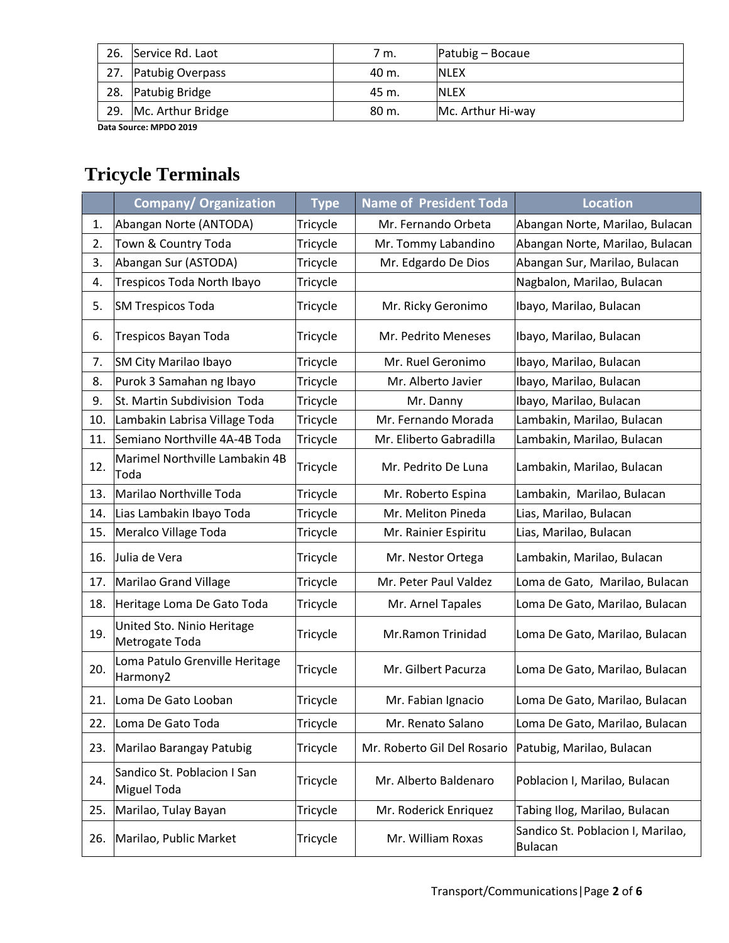| 26. | Service Rd. Laot  | 7 m.  | Patubig – Bocaue  |
|-----|-------------------|-------|-------------------|
| 27. | Patubig Overpass  | 40 m. | INLEX             |
| 28. | Patubig Bridge    | 45 m. | <b>INLEX</b>      |
| 29. | Mc. Arthur Bridge | 80 m. | Mc. Arthur Hi-way |

 **Data Source: MPDO 2019**

# **Tricycle Terminals**

|     | <b>Company/ Organization</b>                 | <b>Type</b> | <b>Name of President Toda</b> | <b>Location</b>                                     |
|-----|----------------------------------------------|-------------|-------------------------------|-----------------------------------------------------|
| 1.  | Abangan Norte (ANTODA)                       | Tricycle    | Mr. Fernando Orbeta           | Abangan Norte, Marilao, Bulacan                     |
| 2.  | Town & Country Toda                          | Tricycle    | Mr. Tommy Labandino           | Abangan Norte, Marilao, Bulacan                     |
| 3.  | Abangan Sur (ASTODA)                         | Tricycle    | Mr. Edgardo De Dios           | Abangan Sur, Marilao, Bulacan                       |
| 4.  | Trespicos Toda North Ibayo                   | Tricycle    |                               | Nagbalon, Marilao, Bulacan                          |
| 5.  | <b>SM Trespicos Toda</b>                     | Tricycle    | Mr. Ricky Geronimo            | Ibayo, Marilao, Bulacan                             |
| 6.  | Trespicos Bayan Toda                         | Tricycle    | Mr. Pedrito Meneses           | Ibayo, Marilao, Bulacan                             |
| 7.  | SM City Marilao Ibayo                        | Tricycle    | Mr. Ruel Geronimo             | Ibayo, Marilao, Bulacan                             |
| 8.  | Purok 3 Samahan ng Ibayo                     | Tricycle    | Mr. Alberto Javier            | Ibayo, Marilao, Bulacan                             |
| 9.  | St. Martin Subdivision Toda                  | Tricycle    | Mr. Danny                     | Ibayo, Marilao, Bulacan                             |
| 10. | Lambakin Labrisa Village Toda                | Tricycle    | Mr. Fernando Morada           | Lambakin, Marilao, Bulacan                          |
| 11. | Semiano Northville 4A-4B Toda                | Tricycle    | Mr. Eliberto Gabradilla       | Lambakin, Marilao, Bulacan                          |
| 12. | Marimel Northville Lambakin 4B<br>Toda       | Tricycle    | Mr. Pedrito De Luna           | Lambakin, Marilao, Bulacan                          |
| 13. | Marilao Northville Toda                      | Tricycle    | Mr. Roberto Espina            | Lambakin, Marilao, Bulacan                          |
| 14. | Lias Lambakin Ibayo Toda                     | Tricycle    | Mr. Meliton Pineda            | Lias, Marilao, Bulacan                              |
| 15. | Meralco Village Toda                         | Tricycle    | Mr. Rainier Espiritu          | Lias, Marilao, Bulacan                              |
| 16. | Julia de Vera                                | Tricycle    | Mr. Nestor Ortega             | Lambakin, Marilao, Bulacan                          |
| 17. | Marilao Grand Village                        | Tricycle    | Mr. Peter Paul Valdez         | Loma de Gato, Marilao, Bulacan                      |
| 18. | Heritage Loma De Gato Toda                   | Tricycle    | Mr. Arnel Tapales             | Loma De Gato, Marilao, Bulacan                      |
| 19. | United Sto. Ninio Heritage<br>Metrogate Toda | Tricycle    | Mr.Ramon Trinidad             | Loma De Gato, Marilao, Bulacan                      |
| 20. | Loma Patulo Grenville Heritage<br>Harmony2   | Tricycle    | Mr. Gilbert Pacurza           | Loma De Gato, Marilao, Bulacan                      |
| 21. | Loma De Gato Looban                          | Tricycle    | Mr. Fabian Ignacio            | Loma De Gato, Marilao, Bulacan                      |
| 22. | Loma De Gato Toda                            | Tricycle    | Mr. Renato Salano             | Loma De Gato, Marilao, Bulacan                      |
| 23. | Marilao Barangay Patubig                     | Tricycle    | Mr. Roberto Gil Del Rosario   | Patubig, Marilao, Bulacan                           |
| 24. | Sandico St. Poblacion I San<br>Miguel Toda   | Tricycle    | Mr. Alberto Baldenaro         | Poblacion I, Marilao, Bulacan                       |
| 25. | Marilao, Tulay Bayan                         | Tricycle    | Mr. Roderick Enriquez         | Tabing Ilog, Marilao, Bulacan                       |
| 26. | Marilao, Public Market                       | Tricycle    | Mr. William Roxas             | Sandico St. Poblacion I, Marilao,<br><b>Bulacan</b> |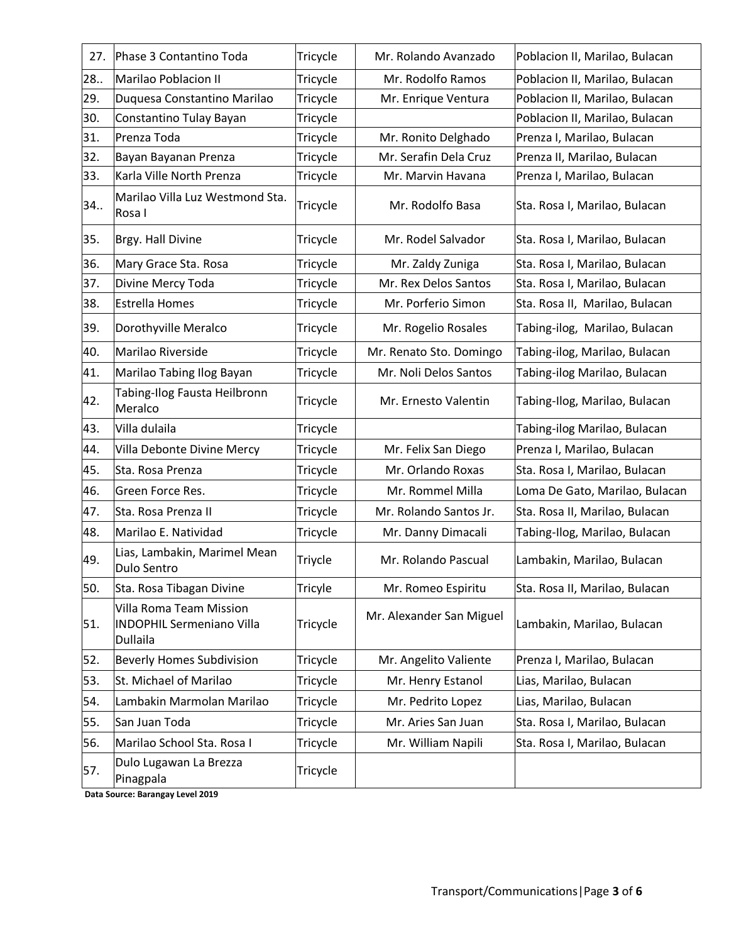| 27. | Phase 3 Contantino Toda                                                 | Tricycle | Mr. Rolando Avanzado     | Poblacion II, Marilao, Bulacan |
|-----|-------------------------------------------------------------------------|----------|--------------------------|--------------------------------|
| 28  | <b>Marilao Poblacion II</b>                                             | Tricycle | Mr. Rodolfo Ramos        | Poblacion II, Marilao, Bulacan |
| 29. | Duquesa Constantino Marilao                                             | Tricycle | Mr. Enrique Ventura      | Poblacion II, Marilao, Bulacan |
| 30. | Constantino Tulay Bayan                                                 | Tricycle |                          | Poblacion II, Marilao, Bulacan |
| 31. | Prenza Toda                                                             | Tricycle | Mr. Ronito Delghado      | Prenza I, Marilao, Bulacan     |
| 32. | Bayan Bayanan Prenza                                                    | Tricycle | Mr. Serafin Dela Cruz    | Prenza II, Marilao, Bulacan    |
| 33. | Karla Ville North Prenza                                                | Tricycle | Mr. Marvin Havana        | Prenza I, Marilao, Bulacan     |
| 34  | Marilao Villa Luz Westmond Sta.<br>Rosa I                               | Tricycle | Mr. Rodolfo Basa         | Sta. Rosa I, Marilao, Bulacan  |
| 35. | Brgy. Hall Divine                                                       | Tricycle | Mr. Rodel Salvador       | Sta. Rosa I, Marilao, Bulacan  |
| 36. | Mary Grace Sta. Rosa                                                    | Tricycle | Mr. Zaldy Zuniga         | Sta. Rosa I, Marilao, Bulacan  |
| 37. | Divine Mercy Toda                                                       | Tricycle | Mr. Rex Delos Santos     | Sta. Rosa I, Marilao, Bulacan  |
| 38. | <b>Estrella Homes</b>                                                   | Tricycle | Mr. Porferio Simon       | Sta. Rosa II, Marilao, Bulacan |
| 39. | Dorothyville Meralco                                                    | Tricycle | Mr. Rogelio Rosales      | Tabing-ilog, Marilao, Bulacan  |
| 40. | Marilao Riverside                                                       | Tricycle | Mr. Renato Sto. Domingo  | Tabing-ilog, Marilao, Bulacan  |
| 41. | Marilao Tabing Ilog Bayan                                               | Tricycle | Mr. Noli Delos Santos    | Tabing-ilog Marilao, Bulacan   |
| 42. | Tabing-Ilog Fausta Heilbronn<br>Meralco                                 | Tricycle | Mr. Ernesto Valentin     | Tabing-Ilog, Marilao, Bulacan  |
| 43. | Villa dulaila                                                           | Tricycle |                          | Tabing-ilog Marilao, Bulacan   |
| 44. | Villa Debonte Divine Mercy                                              | Tricycle | Mr. Felix San Diego      | Prenza I, Marilao, Bulacan     |
| 45. | Sta. Rosa Prenza                                                        | Tricycle | Mr. Orlando Roxas        | Sta. Rosa I, Marilao, Bulacan  |
| 46. | Green Force Res.                                                        | Tricycle | Mr. Rommel Milla         | Loma De Gato, Marilao, Bulacan |
| 47. | Sta. Rosa Prenza II                                                     | Tricycle | Mr. Rolando Santos Jr.   | Sta. Rosa II, Marilao, Bulacan |
| 48. | Marilao E. Natividad                                                    | Tricycle | Mr. Danny Dimacali       | Tabing-Ilog, Marilao, Bulacan  |
| 49. | Lias, Lambakin, Marimel Mean<br>Dulo Sentro                             | Triycle  | Mr. Rolando Pascual      | Lambakin, Marilao, Bulacan     |
| 50. | Sta. Rosa Tibagan Divine                                                | Tricyle  | Mr. Romeo Espiritu       | Sta. Rosa II, Marilao, Bulacan |
| 51. | Villa Roma Team Mission<br><b>INDOPHIL Sermeniano Villa</b><br>Dullaila | Tricycle | Mr. Alexander San Miguel | Lambakin, Marilao, Bulacan     |
| 52. | <b>Beverly Homes Subdivision</b>                                        | Tricycle | Mr. Angelito Valiente    | Prenza I, Marilao, Bulacan     |
| 53. | St. Michael of Marilao                                                  | Tricycle | Mr. Henry Estanol        | Lias, Marilao, Bulacan         |
| 54. | Lambakin Marmolan Marilao                                               | Tricycle | Mr. Pedrito Lopez        | Lias, Marilao, Bulacan         |
| 55. | San Juan Toda                                                           | Tricycle | Mr. Aries San Juan       | Sta. Rosa I, Marilao, Bulacan  |
| 56. | Marilao School Sta. Rosa I                                              | Tricycle | Mr. William Napili       | Sta. Rosa I, Marilao, Bulacan  |
| 57. | Dulo Lugawan La Brezza<br>Pinagpala                                     | Tricycle |                          |                                |

**Data Source: Barangay Level 2019**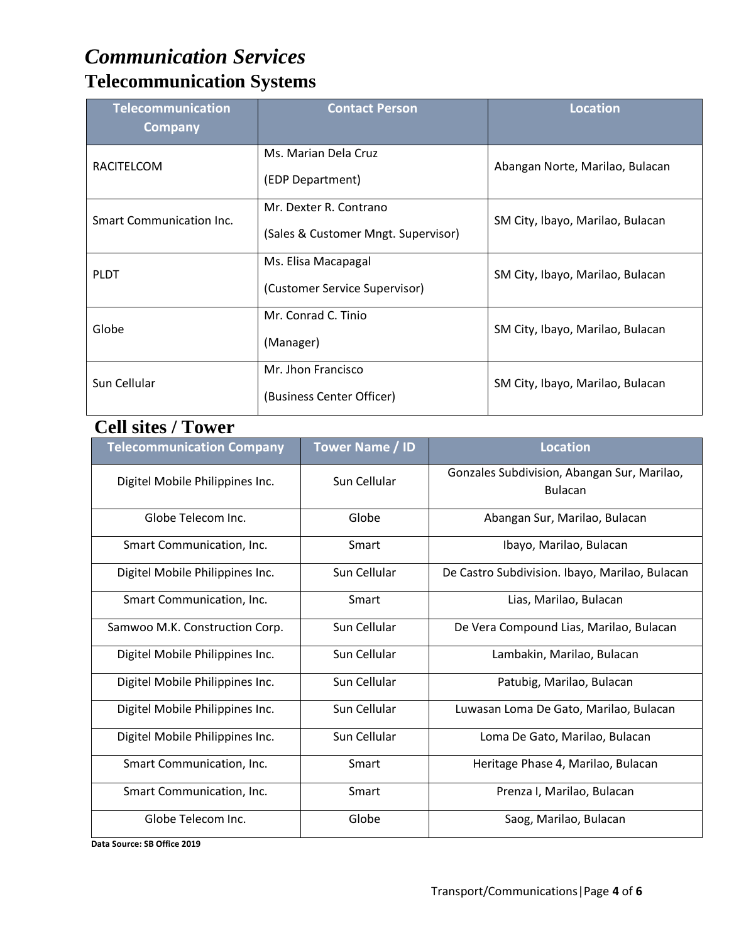### *Communication Services* **Telecommunication Systems**

| <b>Telecommunication</b><br><b>Company</b> | <b>Contact Person</b>                                         | Location                         |
|--------------------------------------------|---------------------------------------------------------------|----------------------------------|
| RACITELCOM                                 | Ms. Marian Dela Cruz<br>(EDP Department)                      | Abangan Norte, Marilao, Bulacan  |
| <b>Smart Communication Inc.</b>            | Mr. Dexter R. Contrano<br>(Sales & Customer Mngt. Supervisor) | SM City, Ibayo, Marilao, Bulacan |
| <b>PLDT</b>                                | Ms. Elisa Macapagal<br>(Customer Service Supervisor)          | SM City, Ibayo, Marilao, Bulacan |
| Globe                                      | Mr. Conrad C. Tinio<br>(Manager)                              | SM City, Ibayo, Marilao, Bulacan |
| Sun Cellular                               | Mr. Jhon Francisco<br>(Business Center Officer)               | SM City, Ibayo, Marilao, Bulacan |

#### **Cell sites / Tower**

| <b>Telecommunication Company</b> | <b>Tower Name / ID</b> | <b>Location</b>                                               |
|----------------------------------|------------------------|---------------------------------------------------------------|
| Digitel Mobile Philippines Inc.  | Sun Cellular           | Gonzales Subdivision, Abangan Sur, Marilao,<br><b>Bulacan</b> |
| Globe Telecom Inc.               | Globe                  | Abangan Sur, Marilao, Bulacan                                 |
| Smart Communication, Inc.        | Smart                  | Ibayo, Marilao, Bulacan                                       |
| Digitel Mobile Philippines Inc.  | Sun Cellular           | De Castro Subdivision. Ibayo, Marilao, Bulacan                |
| Smart Communication, Inc.        | Smart                  | Lias, Marilao, Bulacan                                        |
| Samwoo M.K. Construction Corp.   | Sun Cellular           | De Vera Compound Lias, Marilao, Bulacan                       |
| Digitel Mobile Philippines Inc.  | Sun Cellular           | Lambakin, Marilao, Bulacan                                    |
| Digitel Mobile Philippines Inc.  | Sun Cellular           | Patubig, Marilao, Bulacan                                     |
| Digitel Mobile Philippines Inc.  | Sun Cellular           | Luwasan Loma De Gato, Marilao, Bulacan                        |
| Digitel Mobile Philippines Inc.  | Sun Cellular           | Loma De Gato, Marilao, Bulacan                                |
| Smart Communication, Inc.        | Smart                  | Heritage Phase 4, Marilao, Bulacan                            |
| Smart Communication, Inc.        | Smart                  | Prenza I, Marilao, Bulacan                                    |
| Globe Telecom Inc.               | Globe                  | Saog, Marilao, Bulacan                                        |

 **Data Source: SB Office 2019**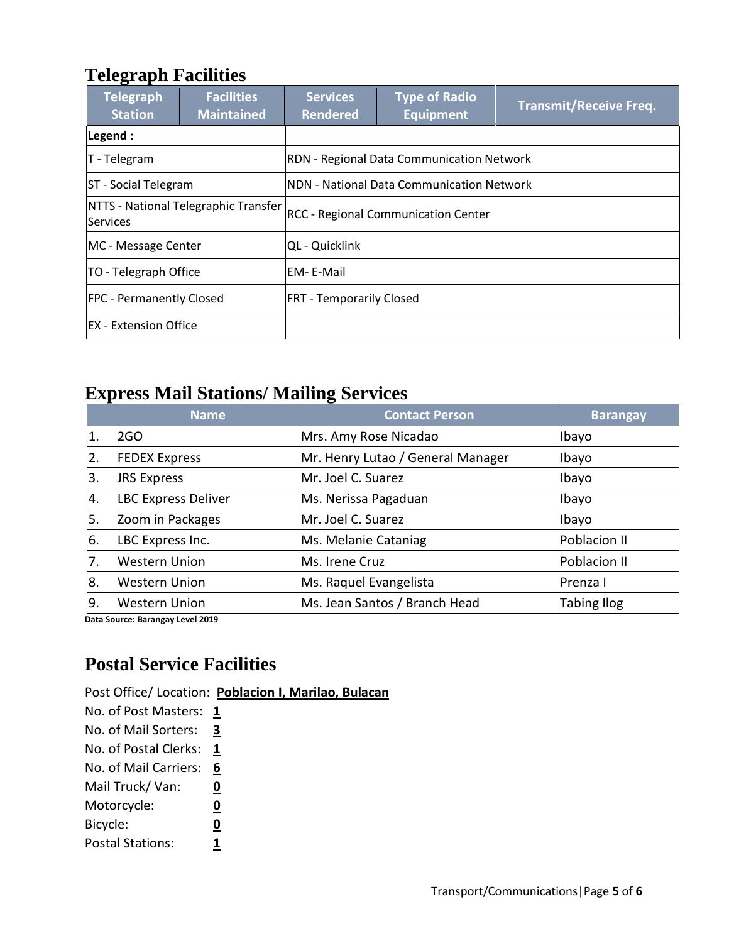#### **Telegraph Facilities**

| <b>Telegraph</b><br><b>Station</b> | <b>Facilities</b><br><b>Maintained</b> | <b>Services</b><br><b>Rendered</b>               | <b>Type of Radio</b><br><b>Equipment</b> | <b>Transmit/Receive Freq.</b> |  |  |
|------------------------------------|----------------------------------------|--------------------------------------------------|------------------------------------------|-------------------------------|--|--|
| Legend :                           |                                        |                                                  |                                          |                               |  |  |
| $T - Telegram$                     |                                        | <b>RDN</b> - Regional Data Communication Network |                                          |                               |  |  |
| <b>ST</b> - Social Telegram        |                                        | NDN - National Data Communication Network        |                                          |                               |  |  |
| Services                           | NTTS - National Telegraphic Transfer   | <b>RCC - Regional Communication Center</b>       |                                          |                               |  |  |
|                                    | QL - Quicklink<br>MC - Message Center  |                                                  |                                          |                               |  |  |
| <b>TO</b> - Telegraph Office       |                                        | EM-E-Mail                                        |                                          |                               |  |  |
| <b>FPC - Permanently Closed</b>    |                                        | <b>FRT - Temporarily Closed</b>                  |                                          |                               |  |  |
| <b>EX</b> - Extension Office       |                                        |                                                  |                                          |                               |  |  |

#### **Express Mail Stations/ Mailing Services**

|     | Name                             | <b>Contact Person</b>             | <b>Barangay</b>    |
|-----|----------------------------------|-----------------------------------|--------------------|
| 11. | 2GO                              | Mrs. Amy Rose Nicadao             | Ibayo              |
| 12. | <b>FEDEX Express</b>             | Mr. Henry Lutao / General Manager | Ibayo              |
| Ι3. | JRS Express                      | Mr. Joel C. Suarez                | Ibayo              |
| 4.  | LBC Express Deliver              | Ms. Nerissa Pagaduan              | Ibayo              |
| ١5. | Zoom in Packages                 | Mr. Joel C. Suarez                | Ibayo              |
| 16. | LBC Express Inc.                 | Ms. Melanie Cataniag              | Poblacion II       |
| 17. | Western Union                    | Ms. Irene Cruz                    | Poblacion II       |
| 8.  | <b>Western Union</b>             | Ms. Raquel Evangelista            | Prenza I           |
| 19. | <b>Western Union</b>             | Ms. Jean Santos / Branch Head     | <b>Tabing Ilog</b> |
|     | Data Coursey Parangay Lough 2010 |                                   |                    |

**Data Source: Barangay Level 2019**

#### **Postal Service Facilities**

Post Office/ Location: **Poblacion I, Marilao, Bulacan**

No. of Post Masters: **1** No. of Mail Sorters: **3** No. of Postal Clerks: **1** No. of Mail Carriers: **6** Mail Truck/ Van: **0** Motorcycle: **0** Bicycle: **0** Postal Stations: 1